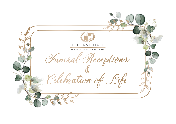Funeral Receptions HOLLAND HALL **WEDDINGS EVENTS CORPORATE**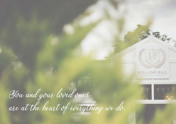You and your loved ones are at the heart of everything we do.



**HOLLAND HALL**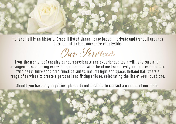

Holland Hall is an historic, Grade II listed Manor House based in private and tranquil grounds surrounded by the Lancashire countyside.

Our *Services* 

From the moment of enquiry our compassionate and experienced team will take care of all arrangements, ensuring everything is handled with the utmost sensitivity and professionalism. With beautifully-appointed function suites, natural light and space, Holland Hall offers a range of services to create a personal and fitting tribute, celebrating the life of your loved one.

Should you have any enquiries, please do not hesitate to contact a member of our team.

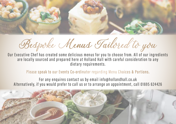

Bespoke Menus Tailored to you

Our Executive Chef has created some delicious menus for you to choose from. All of our ingredients are locally sourced and prepared here at Holland Hall with careful consideration to any dietary requirements.

Please speak to our Events Co-ordinator regarding Menu Choices & Portions.

For any enquires contact us by email info@hollandhall.co.uk Alternatively, if you would prefer to call us or to arrange an appointment, call 01695 624426

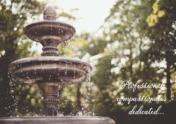Professional,

compassionate,

dedicated...